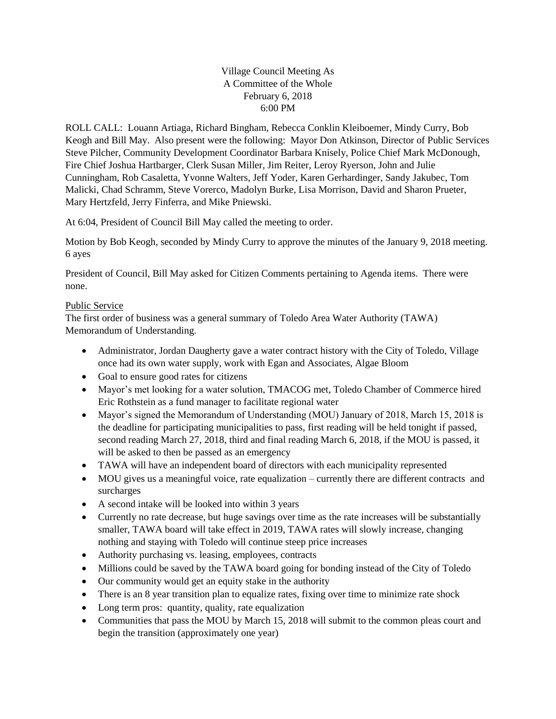Village Council Meeting As A Committee of the Whole February 6, 2018 6:00 PM

ROLL CALL: Louann Artiaga, Richard Bingham, Rebecca Conklin Kleiboemer, Mindy Curry, Bob Keogh and Bill May. Also present were the following: Mayor Don Atkinson, Director of Public Services Steve Pilcher, Community Development Coordinator Barbara Knisely, Police Chief Mark McDonough, Fire Chief Joshua Hartbarger, Clerk Susan Miller, Jim Reiter, Leroy Ryerson, John and Julie Cunningham, Rob Casaletta, Yvonne Walters, Jeff Yoder, Karen Gerhardinger, Sandy Jakubec, Tom Malicki, Chad Schramm, Steve Vorerco, Madolyn Burke, Lisa Morrison, David and Sharon Prueter, Mary Hertzfeld, Jerry Finferra, and Mike Pniewski.

At 6:04, President of Council Bill May called the meeting to order.

Motion by Bob Keogh, seconded by Mindy Curry to approve the minutes of the January 9, 2018 meeting. 6 ayes

President of Council, Bill May asked for Citizen Comments pertaining to Agenda items. There were none.

## Public Service

The first order of business was a general summary of Toledo Area Water Authority (TAWA) Memorandum of Understanding.

- Administrator, Jordan Daugherty gave a water contract history with the City of Toledo, Village once had its own water supply, work with Egan and Associates, Algae Bloom
- Goal to ensure good rates for citizens
- Mayor's met looking for a water solution, TMACOG met, Toledo Chamber of Commerce hired Eric Rothstein as a fund manager to facilitate regional water
- Mayor's signed the Memorandum of Understanding (MOU) January of 2018, March 15, 2018 is the deadline for participating municipalities to pass, first reading will be held tonight if passed, second reading March 27, 2018, third and final reading March 6, 2018, if the MOU is passed, it will be asked to then be passed as an emergency
- TAWA will have an independent board of directors with each municipality represented
- MOU gives us a meaningful voice, rate equalization currently there are different contracts and surcharges
- A second intake will be looked into within 3 years
- Currently no rate decrease, but huge savings over time as the rate increases will be substantially smaller, TAWA board will take effect in 2019, TAWA rates will slowly increase, changing nothing and staying with Toledo will continue steep price increases
- Authority purchasing vs. leasing, employees, contracts
- Millions could be saved by the TAWA board going for bonding instead of the City of Toledo
- Our community would get an equity stake in the authority
- There is an 8 year transition plan to equalize rates, fixing over time to minimize rate shock
- Long term pros: quantity, quality, rate equalization
- Communities that pass the MOU by March 15, 2018 will submit to the common pleas court and begin the transition (approximately one year)